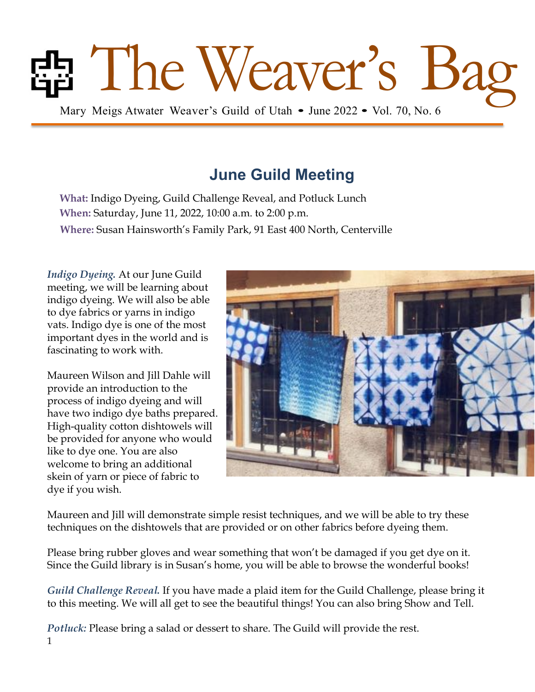# The Weaver's Guild of Utah • June 2022 • Vol. 70, No. 6

# **June Guild Meeting**

**What:** Indigo Dyeing, Guild Challenge Reveal, and Potluck Lunch **When:** Saturday, June 11, 2022, 10:00 a.m. to 2:00 p.m. **Where:** Susan Hainsworth's Family Park, 91 East 400 North, Centerville

*Indigo Dyeing.* At our June Guild meeting, we will be learning about indigo dyeing. We will also be able to dye fabrics or yarns in indigo vats. Indigo dye is one of the most important dyes in the world and is fascinating to work with.

Maureen Wilson and Jill Dahle will provide an introduction to the process of indigo dyeing and will have two indigo dye baths prepared. High-quality cotton dishtowels will be provided for anyone who would like to dye one. You are also welcome to bring an additional skein of yarn or piece of fabric to dye if you wish.



Maureen and Jill will demonstrate simple resist techniques, and we will be able to try these techniques on the dishtowels that are provided or on other fabrics before dyeing them.

Please bring rubber gloves and wear something that won't be damaged if you get dye on it. Since the Guild library is in Susan's home, you will be able to browse the wonderful books!

*Guild Challenge Reveal.* If you have made a plaid item for the Guild Challenge, please bring it to this meeting. We will all get to see the beautiful things! You can also bring Show and Tell.

1 *Potluck:* Please bring a salad or dessert to share. The Guild will provide the rest.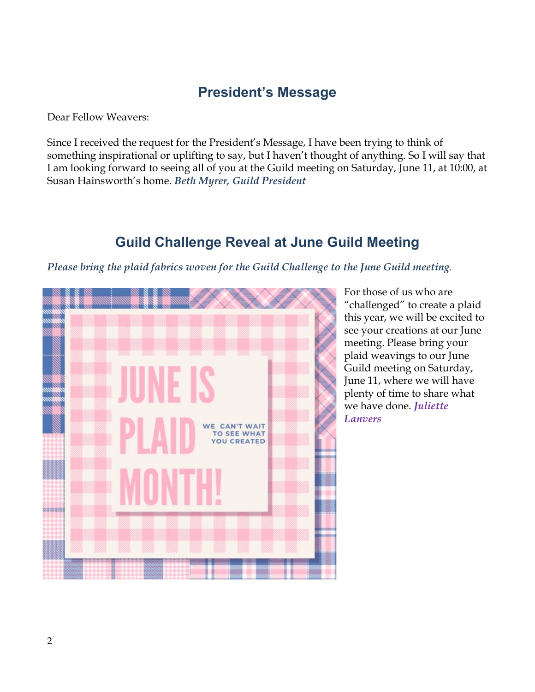#### **President's Message**

Dear Fellow Weavers:

Since I received the request for the President's Message, I have been trying to think of something inspirational or uplifting to say, but I haven't thought of anything. So I will say that I am looking forward to seeing all of you at the Guild meeting on Saturday, June 11, at 10:00, at Susan Hainsworth's home. *Beth Myrer, Guild President* 

### **Guild Challenge Reveal at June Guild Meeting**

#### *Please bring the plaid fabrics woven for the Guild Challenge to the June Guild meeting.*



For those of us who are "challenged" to create a plaid this year, we will be excited to see your creations at our June meeting. Please bring your plaid weavings to our June Guild meeting on Saturday, June 11, where we will have plenty of time to share what we have done. *Juliette Lanvers*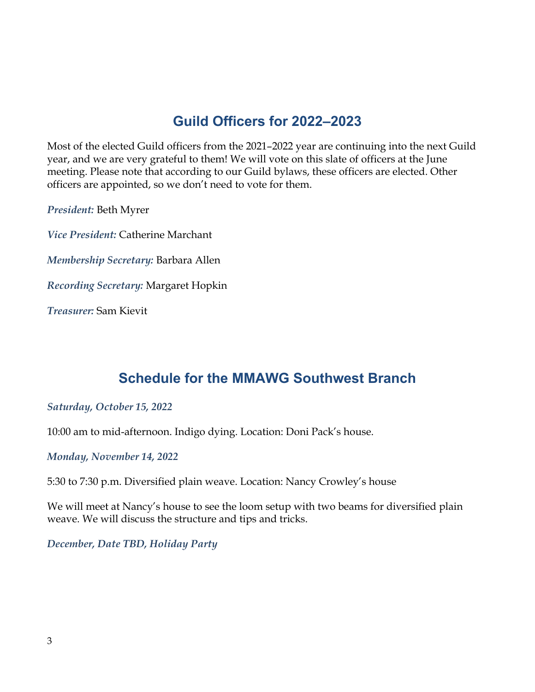## **Guild Officers for 2022–2023**

Most of the elected Guild officers from the 2021–2022 year are continuing into the next Guild year, and we are very grateful to them! We will vote on this slate of officers at the June meeting. Please note that according to our Guild bylaws, these officers are elected. Other officers are appointed, so we don't need to vote for them.

*President:* Beth Myrer

*Vice President:* Catherine Marchant

*Membership Secretary:* Barbara Allen

*Recording Secretary:* Margaret Hopkin

*Treasurer:* Sam Kievit

#### **Schedule for the MMAWG Southwest Branch**

#### *Saturday, October 15, 2022*

10:00 am to mid-afternoon. Indigo dying. Location: Doni Pack's house.

*Monday, November 14, 2022*

5:30 to 7:30 p.m. Diversified plain weave. Location: Nancy Crowley's house

We will meet at Nancy's house to see the loom setup with two beams for diversified plain weave. We will discuss the structure and tips and tricks.

*December, Date TBD, Holiday Party*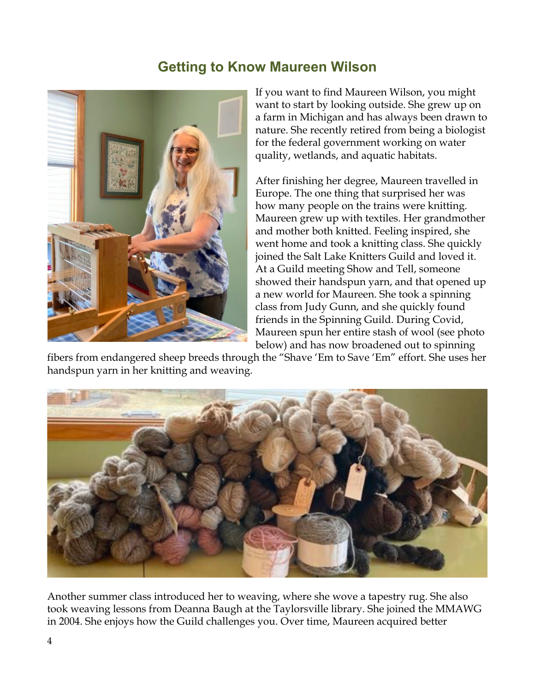#### **Getting to Know Maureen Wilson**



If you want to find Maureen Wilson, you might want to start by looking outside. She grew up on a farm in Michigan and has always been drawn to nature. She recently retired from being a biologist for the federal government working on water quality, wetlands, and aquatic habitats.

After finishing her degree, Maureen travelled in Europe. The one thing that surprised her was how many people on the trains were knitting. Maureen grew up with textiles. Her grandmother and mother both knitted. Feeling inspired, she went home and took a knitting class. She quickly joined the Salt Lake Knitters Guild and loved it. At a Guild meeting Show and Tell, someone showed their handspun yarn, and that opened up a new world for Maureen. She took a spinning class from Judy Gunn, and she quickly found friends in the Spinning Guild. During Covid, Maureen spun her entire stash of wool (see photo below) and has now broadened out to spinning

fibers from endangered sheep breeds through the "Shave 'Em to Save 'Em" effort. She uses her handspun yarn in her knitting and weaving.



Another summer class introduced her to weaving, where she wove a tapestry rug. She also took weaving lessons from Deanna Baugh at the Taylorsville library. She joined the MMAWG in 2004. She enjoys how the Guild challenges you. Over time, Maureen acquired better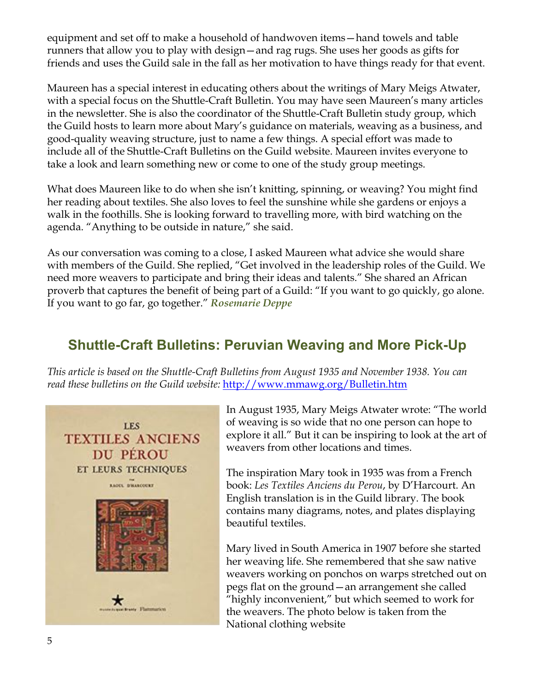equipment and set off to make a household of handwoven items—hand towels and table runners that allow you to play with design—and rag rugs. She uses her goods as gifts for friends and uses the Guild sale in the fall as her motivation to have things ready for that event.

Maureen has a special interest in educating others about the writings of Mary Meigs Atwater, with a special focus on the Shuttle-Craft Bulletin. You may have seen Maureen's many articles in the newsletter. She is also the coordinator of the Shuttle-Craft Bulletin study group, which the Guild hosts to learn more about Mary's guidance on materials, weaving as a business, and good-quality weaving structure, just to name a few things. A special effort was made to include all of the Shuttle-Craft Bulletins on the Guild website. Maureen invites everyone to take a look and learn something new or come to one of the study group meetings.

What does Maureen like to do when she isn't knitting, spinning, or weaving? You might find her reading about textiles. She also loves to feel the sunshine while she gardens or enjoys a walk in the foothills. She is looking forward to travelling more, with bird watching on the agenda. "Anything to be outside in nature," she said.

As our conversation was coming to a close, I asked Maureen what advice she would share with members of the Guild. She replied, "Get involved in the leadership roles of the Guild. We need more weavers to participate and bring their ideas and talents." She shared an African proverb that captures the benefit of being part of a Guild: "If you want to go quickly, go alone. If you want to go far, go together." *Rosemarie Deppe*

#### **Shuttle-Craft Bulletins: Peruvian Weaving and More Pick-Up**

*This article is based on the Shuttle-Craft Bulletins from August 1935 and November 1938. You can read these bulletins on the Guild website:* http://www.mmawg.org/Bulletin.htm



In August 1935, Mary Meigs Atwater wrote: "The world of weaving is so wide that no one person can hope to explore it all." But it can be inspiring to look at the art of weavers from other locations and times.

The inspiration Mary took in 1935 was from a French book: *Les Textiles Anciens du Perou*, by D'Harcourt. An English translation is in the Guild library. The book contains many diagrams, notes, and plates displaying beautiful textiles.

Mary lived in South America in 1907 before she started her weaving life. She remembered that she saw native weavers working on ponchos on warps stretched out on pegs flat on the ground—an arrangement she called "highly inconvenient," but which seemed to work for the weavers. The photo below is taken from the National clothing website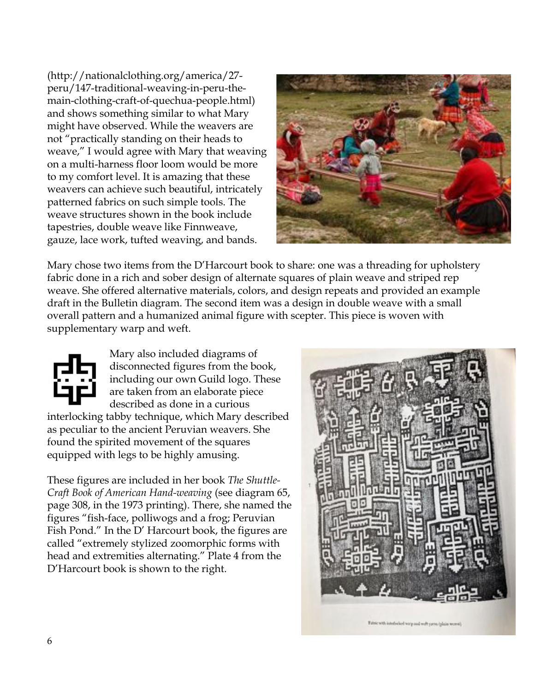(http://nationalclothing.org/america/27 peru/147-traditional-weaving-in-peru-themain-clothing-craft-of-quechua-people.html) and shows something similar to what Mary might have observed. While the weavers are not "practically standing on their heads to weave," I would agree with Mary that weaving on a multi-harness floor loom would be more to my comfort level. It is amazing that these weavers can achieve such beautiful, intricately patterned fabrics on such simple tools. The weave structures shown in the book include tapestries, double weave like Finnweave, gauze, lace work, tufted weaving, and bands.



Mary chose two items from the D'Harcourt book to share: one was a threading for upholstery fabric done in a rich and sober design of alternate squares of plain weave and striped rep weave. She offered alternative materials, colors, and design repeats and provided an example draft in the Bulletin diagram. The second item was a design in double weave with a small overall pattern and a humanized animal figure with scepter. This piece is woven with supplementary warp and weft.



Mary also included diagrams of disconnected figures from the book, including our own Guild logo. These are taken from an elaborate piece described as done in a curious interlocking tabby technique, which Mary described as peculiar to the ancient Peruvian weavers. She found the spirited movement of the squares equipped with legs to be highly amusing.

These figures are included in her book *The Shuttle-Craft Book of American Hand-weaving* (see diagram 65, page 308, in the 1973 printing). There, she named the figures "fish-face, polliwogs and a frog; Peruvian Fish Pond." In the D' Harcourt book, the figures are called "extremely stylized zoomorphic forms with head and extremities alternating." Plate 4 from the D'Harcourt book is shown to the right.

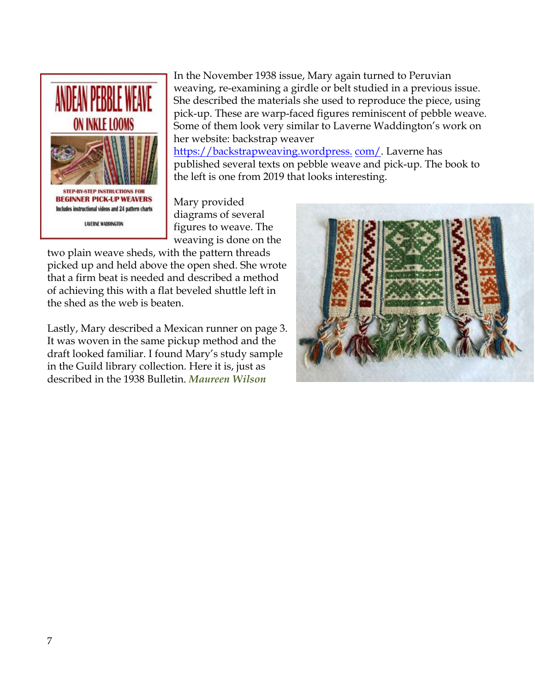

In the November 1938 issue, Mary again turned to Peruvian weaving, re-examining a girdle or belt studied in a previous issue. She described the materials she used to reproduce the piece, using pick-up. These are warp-faced figures reminiscent of pebble weave. Some of them look very similar to Laverne Waddington's work on her website: backstrap weaver

https://backstrapweaving.wordpress. com/. Laverne has published several texts on pebble weave and pick-up. The book to the left is one from 2019 that looks interesting.

Mary provided diagrams of several figures to weave. The weaving is done on the

two plain weave sheds, with the pattern threads picked up and held above the open shed. She wrote that a firm beat is needed and described a method of achieving this with a flat beveled shuttle left in the shed as the web is beaten.

Lastly, Mary described a Mexican runner on page 3. It was woven in the same pickup method and the draft looked familiar. I found Mary's study sample in the Guild library collection. Here it is, just as described in the 1938 Bulletin. *Maureen Wilson*

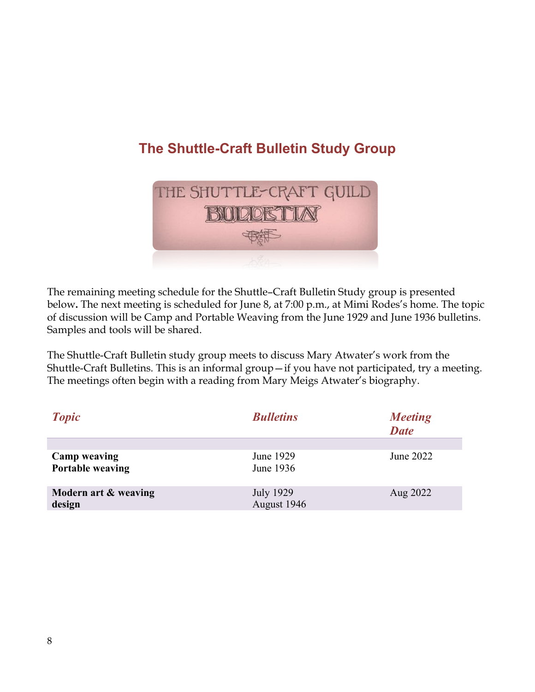# **The Shuttle-Craft Bulletin Study Group**



The remaining meeting schedule for the Shuttle–Craft Bulletin Study group is presented below**.** The next meeting is scheduled for June 8, at 7:00 p.m., at Mimi Rodes's home. The topic of discussion will be Camp and Portable Weaving from the June 1929 and June 1936 bulletins. Samples and tools will be shared.

The Shuttle-Craft Bulletin study group meets to discuss Mary Atwater's work from the Shuttle-Craft Bulletins. This is an informal group—if you have not participated, try a meeting. The meetings often begin with a reading from Mary Meigs Atwater's biography.

| <b>Topic</b>                            | <b>Bulletins</b>         | <b>Meeting</b><br><b>Date</b> |
|-----------------------------------------|--------------------------|-------------------------------|
|                                         |                          |                               |
| <b>Camp weaving</b><br>Portable weaving | June 1929<br>June 1936   | June 2022                     |
| Modern art & weaving<br>design          | July 1929<br>August 1946 | Aug 2022                      |